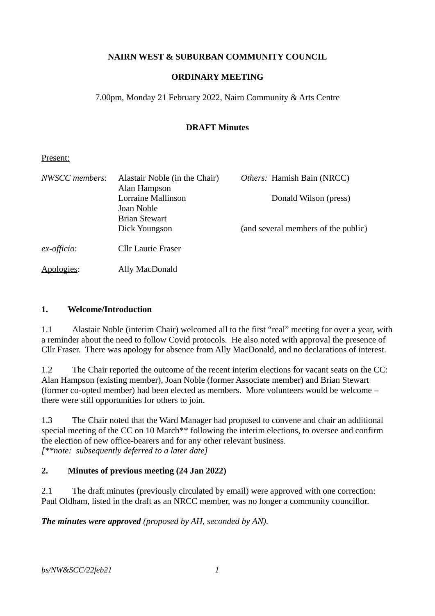### **NAIRN WEST & SUBURBAN COMMUNITY COUNCIL**

### **ORDINARY MEETING**

7.00pm, Monday 21 February 2022, Nairn Community & Arts Centre

### **DRAFT Minutes**

#### Present:

| NWSCC members: | Alastair Noble (in the Chair)<br>Alan Hampson | Others: Hamish Bain (NRCC)          |
|----------------|-----------------------------------------------|-------------------------------------|
|                | <b>Lorraine Mallinson</b><br>Joan Noble       | Donald Wilson (press)               |
|                | <b>Brian Stewart</b><br>Dick Youngson         | (and several members of the public) |
| ex-officio:    | Cllr Laurie Fraser                            |                                     |
| Apologies:     | Ally MacDonald                                |                                     |

#### **1. Welcome/Introduction**

1.1 Alastair Noble (interim Chair) welcomed all to the first "real" meeting for over a year, with a reminder about the need to follow Covid protocols. He also noted with approval the presence of Cllr Fraser. There was apology for absence from Ally MacDonald, and no declarations of interest.

1.2 The Chair reported the outcome of the recent interim elections for vacant seats on the CC: Alan Hampson (existing member), Joan Noble (former Associate member) and Brian Stewart (former co-opted member) had been elected as members. More volunteers would be welcome – there were still opportunities for others to join.

1.3 The Chair noted that the Ward Manager had proposed to convene and chair an additional special meeting of the CC on 10 March<sup>\*\*</sup> following the interim elections, to oversee and confirm the election of new office-bearers and for any other relevant business. *[\*\*note: subsequently deferred to a later date]*

## **2. Minutes of previous meeting (24 Jan 2022)**

2.1 The draft minutes (previously circulated by email) were approved with one correction: Paul Oldham, listed in the draft as an NRCC member, was no longer a community councillor.

*The minutes were approved (proposed by AH, seconded by AN).*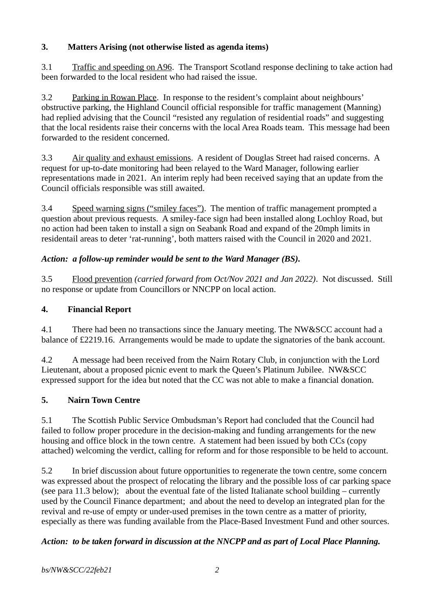## **3. Matters Arising (not otherwise listed as agenda items)**

3.1 Traffic and speeding on A96. The Transport Scotland response declining to take action had been forwarded to the local resident who had raised the issue.

3.2 Parking in Rowan Place. In response to the resident's complaint about neighbours' obstructive parking, the Highland Council official responsible for traffic management (Manning) had replied advising that the Council "resisted any regulation of residential roads" and suggesting that the local residents raise their concerns with the local Area Roads team. This message had been forwarded to the resident concerned.

3.3 Air quality and exhaust emissions. A resident of Douglas Street had raised concerns. A request for up-to-date monitoring had been relayed to the Ward Manager, following earlier representations made in 2021. An interim reply had been received saying that an update from the Council officials responsible was still awaited.

3.4 Speed warning signs ("smiley faces"). The mention of traffic management prompted a question about previous requests. A smiley-face sign had been installed along Lochloy Road, but no action had been taken to install a sign on Seabank Road and expand of the 20mph limits in residentail areas to deter 'rat-running', both matters raised with the Council in 2020 and 2021.

# *Action: a follow-up reminder would be sent to the Ward Manager (BS).*

3.5 Flood prevention *(carried forward from Oct/Nov 2021 and Jan 2022)*. Not discussed. Still no response or update from Councillors or NNCPP on local action.

## **4. Financial Report**

4.1 There had been no transactions since the January meeting. The NW&SCC account had a balance of £2219.16. Arrangements would be made to update the signatories of the bank account.

4.2 A message had been received from the Nairn Rotary Club, in conjunction with the Lord Lieutenant, about a proposed picnic event to mark the Queen's Platinum Jubilee. NW&SCC expressed support for the idea but noted that the CC was not able to make a financial donation.

# **5. Nairn Town Centre**

5.1 The Scottish Public Service Ombudsman's Report had concluded that the Council had failed to follow proper procedure in the decision-making and funding arrangements for the new housing and office block in the town centre. A statement had been issued by both CCs (copy attached) welcoming the verdict, calling for reform and for those responsible to be held to account.

5.2 In brief discussion about future opportunities to regenerate the town centre, some concern was expressed about the prospect of relocating the library and the possible loss of car parking space (see para 11.3 below); about the eventual fate of the listed Italianate school building – currently used by the Council Finance department; and about the need to develop an integrated plan for the revival and re-use of empty or under-used premises in the town centre as a matter of priority, especially as there was funding available from the Place-Based Investment Fund and other sources.

## *Action: to be taken forward in discussion at the NNCPP and as part of Local Place Planning.*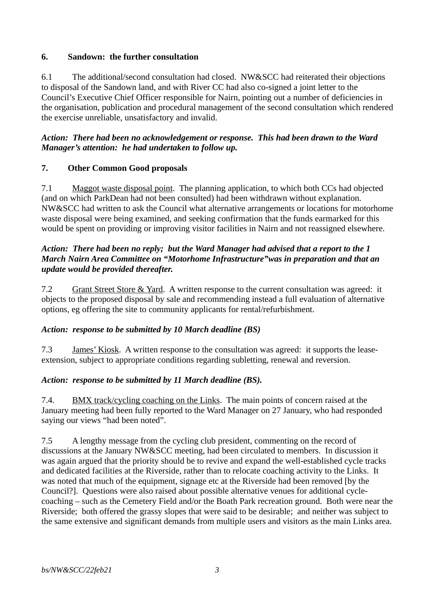### **6. Sandown: the further consultation**

6.1 The additional/second consultation had closed. NW&SCC had reiterated their objections to disposal of the Sandown land, and with River CC had also co-signed a joint letter to the Council's Executive Chief Officer responsible for Nairn, pointing out a number of deficiencies in the organisation, publication and procedural management of the second consultation which rendered the exercise unreliable, unsatisfactory and invalid.

### *Action: There had been no acknowledgement or response. This had been drawn to the Ward Manager's attention: he had undertaken to follow up.*

## **7. Other Common Good proposals**

7.1 Maggot waste disposal point. The planning application, to which both CCs had objected (and on which ParkDean had not been consulted) had been withdrawn without explanation. NW&SCC had written to ask the Council what alternative arrangements or locations for motorhome waste disposal were being examined, and seeking confirmation that the funds earmarked for this would be spent on providing or improving visitor facilities in Nairn and not reassigned elsewhere.

#### *Action: There had been no reply; but the Ward Manager had advised that a report to the 1 March Nairn Area Committee on "Motorhome Infrastructure"was in preparation and that an update would be provided thereafter.*

7.2 Grant Street Store & Yard. A written response to the current consultation was agreed: it objects to the proposed disposal by sale and recommending instead a full evaluation of alternative options, eg offering the site to community applicants for rental/refurbishment.

## *Action: response to be submitted by 10 March deadline (BS)*

7.3 James' Kiosk. A written response to the consultation was agreed: it supports the leaseextension, subject to appropriate conditions regarding subletting, renewal and reversion.

#### *Action: response to be submitted by 11 March deadline (BS).*

7.4. BMX track/cycling coaching on the Links. The main points of concern raised at the January meeting had been fully reported to the Ward Manager on 27 January, who had responded saying our views "had been noted".

7.5 A lengthy message from the cycling club president, commenting on the record of discussions at the January NW&SCC meeting, had been circulated to members. In discussion it was again argued that the priority should be to revive and expand the well-established cycle tracks and dedicated facilities at the Riverside, rather than to relocate coaching activity to the Links. It was noted that much of the equipment, signage etc at the Riverside had been removed [by the Council?]. Questions were also raised about possible alternative venues for additional cyclecoaching – such as the Cemetery Field and/or the Boath Park recreation ground. Both were near the Riverside; both offered the grassy slopes that were said to be desirable; and neither was subject to the same extensive and significant demands from multiple users and visitors as the main Links area.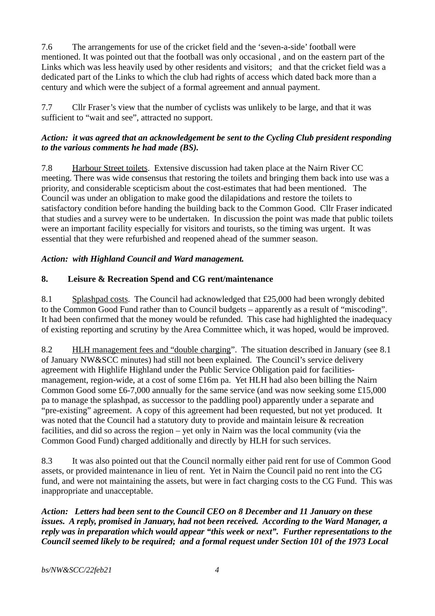7.6 The arrangements for use of the cricket field and the 'seven-a-side' football were mentioned. It was pointed out that the football was only occasional , and on the eastern part of the Links which was less heavily used by other residents and visitors; and that the cricket field was a dedicated part of the Links to which the club had rights of access which dated back more than a century and which were the subject of a formal agreement and annual payment.

7.7 Cllr Fraser's view that the number of cyclists was unlikely to be large, and that it was sufficient to "wait and see", attracted no support.

### *Action: it was agreed that an acknowledgement be sent to the Cycling Club president responding to the various comments he had made (BS).*

7.8 Harbour Street toilets. Extensive discussion had taken place at the Nairn River CC meeting. There was wide consensus that restoring the toilets and bringing them back into use was a priority, and considerable scepticism about the cost-estimates that had been mentioned. The Council was under an obligation to make good the dilapidations and restore the toilets to satisfactory condition before handing the building back to the Common Good. Cllr Fraser indicated that studies and a survey were to be undertaken. In discussion the point was made that public toilets were an important facility especially for visitors and tourists, so the timing was urgent. It was essential that they were refurbished and reopened ahead of the summer season.

# *Action: with Highland Council and Ward management.*

# **8. Leisure & Recreation Spend and CG rent/maintenance**

8.1 Splashpad costs. The Council had acknowledged that £25,000 had been wrongly debited to the Common Good Fund rather than to Council budgets – apparently as a result of "miscoding". It had been confirmed that the money would be refunded. This case had highlighted the inadequacy of existing reporting and scrutiny by the Area Committee which, it was hoped, would be improved.

8.2 HLH management fees and "double charging". The situation described in January (see 8.1) of January NW&SCC minutes) had still not been explained. The Council's service delivery agreement with Highlife Highland under the Public Service Obligation paid for facilitiesmanagement, region-wide, at a cost of some £16m pa. Yet HLH had also been billing the Nairn Common Good some £6-7,000 annually for the same service (and was now seeking some £15,000 pa to manage the splashpad, as successor to the paddling pool) apparently under a separate and "pre-existing" agreement. A copy of this agreement had been requested, but not yet produced. It was noted that the Council had a statutory duty to provide and maintain leisure & recreation facilities, and did so across the region – yet only in Nairn was the local community (via the Common Good Fund) charged additionally and directly by HLH for such services.

8.3 It was also pointed out that the Council normally either paid rent for use of Common Good assets, or provided maintenance in lieu of rent. Yet in Nairn the Council paid no rent into the CG fund, and were not maintaining the assets, but were in fact charging costs to the CG Fund. This was inappropriate and unacceptable.

*Action: Letters had been sent to the Council CEO on 8 December and 11 January on these issues. A reply, promised in January, had not been received. According to the Ward Manager, a reply was in preparation which would appear "this week or next". Further representations to the Council seemed likely to be required; and a formal request under Section 101 of the 1973 Local*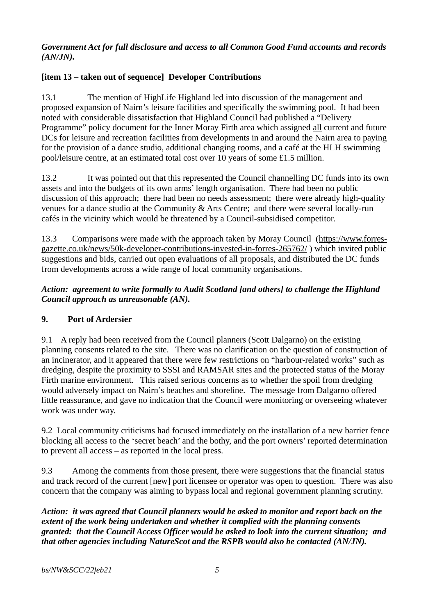### *Government Act for full disclosure and access to all Common Good Fund accounts and records (AN/JN).*

## **[item 13 – taken out of sequence] Developer Contributions**

13.1 The mention of HighLife Highland led into discussion of the management and proposed expansion of Nairn's leisure facilities and specifically the swimming pool. It had been noted with considerable dissatisfaction that Highland Council had published a "Delivery Programme" policy document for the Inner Moray Firth area which assigned all current and future DCs for leisure and recreation facilities from developments in and around the Nairn area to paying for the provision of a dance studio, additional changing rooms, and a café at the HLH swimming pool/leisure centre, at an estimated total cost over 10 years of some £1.5 million.

13.2 It was pointed out that this represented the Council channelling DC funds into its own assets and into the budgets of its own arms' length organisation. There had been no public discussion of this approach; there had been no needs assessment; there were already high-quality venues for a dance studio at the Community & Arts Centre; and there were several locally-run cafés in the vicinity which would be threatened by a Council-subsidised competitor.

13.3 Comparisons were made with the approach taken by Moray Council [\(https://www.forres](https://www.forres-gazette.co.uk/news/50k-developer-contributions-invested-in-forres-265762/)[gazette.co.uk/news/50k-developer-contributions-invested-in-forres-265762/](https://www.forres-gazette.co.uk/news/50k-developer-contributions-invested-in-forres-265762/) ) which invited public suggestions and bids, carried out open evaluations of all proposals, and distributed the DC funds from developments across a wide range of local community organisations.

## *Action: agreement to write formally to Audit Scotland [and others] to challenge the Highland Council approach as unreasonable (AN).*

## **9. Port of Ardersier**

9.1 A reply had been received from the Council planners (Scott Dalgarno) on the existing planning consents related to the site. There was no clarification on the question of construction of an incinerator, and it appeared that there were few restrictions on "harbour-related works" such as dredging, despite the proximity to SSSI and RAMSAR sites and the protected status of the Moray Firth marine environment. This raised serious concerns as to whether the spoil from dredging would adversely impact on Nairn's beaches and shoreline. The message from Dalgarno offered little reassurance, and gave no indication that the Council were monitoring or overseeing whatever work was under way.

9.2 Local community criticisms had focused immediately on the installation of a new barrier fence blocking all access to the 'secret beach' and the bothy, and the port owners' reported determination to prevent all access – as reported in the local press.

9.3 Among the comments from those present, there were suggestions that the financial status and track record of the current [new] port licensee or operator was open to question. There was also concern that the company was aiming to bypass local and regional government planning scrutiny.

*Action: it was agreed that Council planners would be asked to monitor and report back on the extent of the work being undertaken and whether it complied with the planning consents granted: that the Council Access Officer would be asked to look into the current situation; and that other agencies including NatureScot and the RSPB would also be contacted (AN/JN).*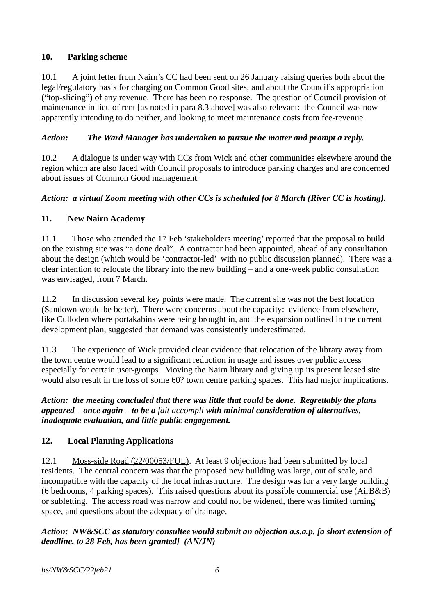## **10. Parking scheme**

10.1 A joint letter from Nairn's CC had been sent on 26 January raising queries both about the legal/regulatory basis for charging on Common Good sites, and about the Council's appropriation ("top-slicing") of any revenue. There has been no response. The question of Council provision of maintenance in lieu of rent [as noted in para 8.3 above] was also relevant: the Council was now apparently intending to do neither, and looking to meet maintenance costs from fee-revenue.

## *Action: The Ward Manager has undertaken to pursue the matter and prompt a reply.*

10.2 A dialogue is under way with CCs from Wick and other communities elsewhere around the region which are also faced with Council proposals to introduce parking charges and are concerned about issues of Common Good management.

# *Action: a virtual Zoom meeting with other CCs is scheduled for 8 March (River CC is hosting).*

## **11. New Nairn Academy**

11.1 Those who attended the 17 Feb 'stakeholders meeting' reported that the proposal to build on the existing site was "a done deal". A contractor had been appointed, ahead of any consultation about the design (which would be 'contractor-led' with no public discussion planned). There was a clear intention to relocate the library into the new building – and a one-week public consultation was envisaged, from 7 March.

11.2 In discussion several key points were made. The current site was not the best location (Sandown would be better). There were concerns about the capacity: evidence from elsewhere, like Culloden where portakabins were being brought in, and the expansion outlined in the current development plan, suggested that demand was consistently underestimated.

11.3 The experience of Wick provided clear evidence that relocation of the library away from the town centre would lead to a significant reduction in usage and issues over public access especially for certain user-groups. Moving the Nairn library and giving up its present leased site would also result in the loss of some 60? town centre parking spaces. This had major implications.

### *Action: the meeting concluded that there was little that could be done. Regrettably the plans appeared – once again – to be a fait accompli with minimal consideration of alternatives, inadequate evaluation, and little public engagement.*

## **12. Local Planning Applications**

12.1 Moss-side Road (22/00053/FUL). At least 9 objections had been submitted by local residents. The central concern was that the proposed new building was large, out of scale, and incompatible with the capacity of the local infrastructure. The design was for a very large building (6 bedrooms, 4 parking spaces). This raised questions about its possible commercial use (AirB&B) or subletting. The access road was narrow and could not be widened, there was limited turning space, and questions about the adequacy of drainage.

## *Action: NW&SCC as statutory consultee would submit an objection a.s.a.p. [a short extension of deadline, to 28 Feb, has been granted] (AN/JN)*